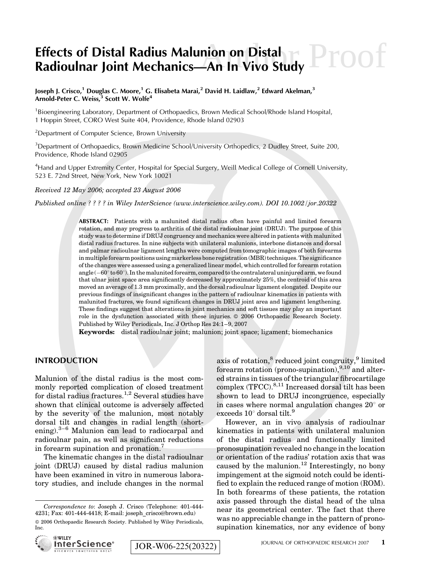# Effects of Distal Radius Malunion on Distal<br>Radioulnar Joint Mechanics—An In Vivo Study Effects of Distal Radius Malunion on Distal

#### Joseph J. Crisco,<sup>1</sup> Douglas C. Moore,<sup>1</sup> G. Elisabeta Marai,<sup>2</sup> David H. Laidlaw,<sup>2</sup> Edward Akelman,<sup>3</sup> Arnold-Peter C. Weiss,<sup>3</sup> Scott W. Wolfe<sup>4</sup>

<sup>1</sup>Bioengineering Laboratory, Department of Orthopaedics, Brown Medical School/Rhode Island Hospital, 1 Hoppin Street, CORO West Suite 404, Providence, Rhode Island 02903

<sup>2</sup>Department of Computer Science, Brown University

<sup>3</sup>Department of Orthopaedics, Brown Medicine School/University Orthopedics, 2 Dudley Street, Suite 200, Providence, Rhode Island 02905

<sup>4</sup> Hand and Upper Extremity Center, Hospital for Special Surgery, Weill Medical College of Cornell University, 523 E. 72nd Street, New York, New York 10021

Received 12 May 2006; accepted 23 August 2006

Published online ? ? ? ? in Wiley InterScience (www.interscience.wiley.com). DOI 10.1002/jor.20322

ment of Computer Science, Brown University<br>conductions, the computer science, Brown University Orthopedics, 2 Duilley Street, Suite 200,<br>ne.c. Rhode Island 0.2905<br>ne.c. Rhode Island 0.2905<br>according to Excitation Section ABSTRACT: Patients with a malunited distal radius often have painful and limited forearm rotation, and may progress to arthritis of the distal radioulnar joint (DRUJ). The purpose of this study was to determine if DRUJ congruency and mechanics were altered in patients with malunited distal radius fractures. In nine subjects with unilateral malunions, interbone distances and dorsal and palmar radioulnar ligament lengths were computed from tomographic images of both forearms in multiple forearm positions using markerless bone registration(MBR) techniques. The significance of the changes were assessed using a generalized linear model, which controlled for forearm rotation angle  $(-60^\circ \text{ to } 60^\circ)$ . In the malunited forearm, compared to the contralateral uninjured arm, we found that ulnar joint space area significantly decreased by approximately 25%, the centroid of this area moved an average of 1.3 mm proximally, and the dorsal radioulnar ligament elongated. Despite our previous findings of insignificant changes in the pattern of radioulnar kinematics in patients with malunited fractures, we found significant changes in DRUJ joint area and ligament lengthening. These findings suggest that alterations in joint mechanics and soft tissues may play an important role in the dysfunction associated with these injuries.  $\oslash$  2006 Orthopaedic Research Society. Published by Wiley Periodicals, Inc. J Orthop Res 24:1–9, 2007

Keywords: distal radioulnar joint; malunion; joint space; ligament; biomechanics

#### INTRODUCTION

Malunion of the distal radius is the most commonly reported complication of closed treatment for distal radius fractures.<sup>1,2</sup> Several studies have shown that clinical outcome is adversely affected by the severity of the malunion, most notably dorsal tilt and changes in radial length (shortening). $3-6$  Malunion can lead to radiocarpal and radioulnar pain, as well as significant reductions in forearm supination and pronation.<sup>7</sup>

The kinematic changes in the distal radioulnar joint (DRUJ) caused by distal radius malunion have been examined in vitro in numerous laboratory studies, and include changes in the normal

2006 Orthopaedic Research Society. Published by Wiley Periodicals, Inc.



axis of rotation, $8$  reduced joint congruity, $9$  limited forearm rotation (prono-supination),<sup>9,10</sup> and altered strains in tissues of the triangular fibrocartilage complex (TFCC).<sup>8,11</sup> Increased dorsal tilt has been shown to lead to DRUJ incongruence, especially in cases where normal angulation changes  $20^{\circ}$  or exceeds  $10^{\circ}$  dorsal tilt.<sup>9</sup>

However, an in vivo analysis of radioulnar kinematics in patients with unilateral malunion of the distal radius and functionally limited pronosupination revealed no change in the location or orientation of the radius' rotation axis that was caused by the malunion.<sup>12</sup> Interestingly, no bony impingement at the sigmoid notch could be identified to explain the reduced range of motion (ROM). In both forearms of these patients, the rotation axis passed through the distal head of the ulna near its geometrical center. The fact that there was no appreciable change in the pattern of pronosupination kinematics, nor any evidence of bony



Correspondence to: Joseph J. Crisco (Telephone: 401-444- 4231; Fax: 401-444-4418; E-mail: joseph\_crisco@brown.edu)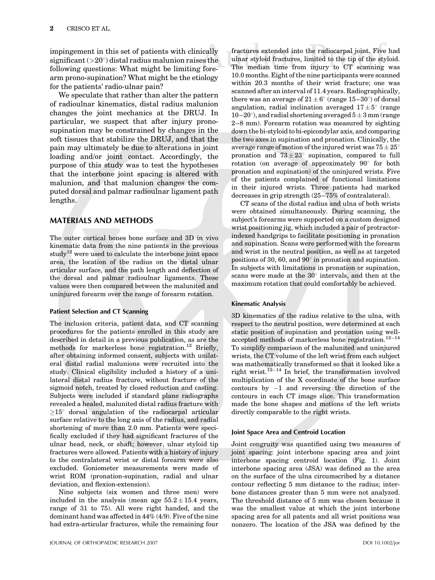impingement in this set of patients with clinically significant  $(>20^{\circ})$  distal radius malunion raises the following questions: What might be limiting forearm prono-supination? What might be the etiology for the patients' radio-ulnar pain?

We speculate that rather than alter the pattern of radioulnar kinematics, distal radius malunion changes the joint mechanics at the DRUJ. In particular, we suspect that after injury pronosupination may be constrained by changes in the soft tissues that stabilize the DRUJ, and that the pain may ultimately be due to alterations in joint loading and/or joint contact. Accordingly, the purpose of this study was to test the hypotheses that the interbone joint spacing is altered with malunion, and that malunion changes the computed dorsal and palmar radioulnar ligament path lengths.

#### MATERIALS AND METHODS

The outer cortical bones bone surface and 3D in vivo kinematic data from the nine patients in the previous study<sup>12</sup> were used to calculate the interbone joint space area, the location of the radius on the distal ulnar articular surface, and the path length and deflection of the dorsal and palmar radioulnar ligaments. These values were then compared between the malunited and uninjured forearm over the range of forearm rotation.

#### Patient Selection and CT Scanning

It tissues that stabilize the DRU, and that the whom the symmetric point is the maximized by the polaristic stabilize the DRU, and that the the two sees in equation displaced in the maximized by displaced a located the st The inclusion criteria, patient data, and CT scanning procedures for the patients enrolled in this study are described in detail in a previous publication, as are the methods for markerless bone registration.<sup>12</sup> Briefly, after obtaining informed consent, subjects with unilateral distal radial malunions were recruited into the study. Clinical eligibility included a history of a unilateral distal radius fracture, without fracture of the sigmoid notch, treated by closed reduction and casting. Subjects were included if standard plane radiographs revealed a healed, malunited distal radius fracture with  $\geq$ 15° dorsal angulation of the radiocarpal articular surface relative to the long axis of the radius, and radial shortening of more than 2.0 mm. Patients were specifically excluded if they had significant fractures of the ulnar head, neck, or shaft; however, ulnar styloid tip fractures were allowed. Patients with a history of injury to the contralateral wrist or distal forearm were also excluded. Goniometer measurements were made of wrist ROM (pronation-supination, radial and ulnar deviation, and flexion-extension).

Nine subjects (six women and three men) were included in the analysis (mean age  $55.2 \pm 15.4$  years, range of 31 to 75). All were right handed, and the dominant hand was affected in 44% (4/9). Five of the nine had extra-articular fractures, while the remaining four

ically fractures extended into the radiocarpal joint. Five<br>es the ulnar styloid fractures, limited to the tip of the sty<br>fore-<br>The median time from injury to CT scanning<br>10.0 months Eight of the nine protiing transpose fractures extended into the radiocarpal joint. Five had ulnar styloid fractures, limited to the tip of the styloid. The median time from injury to CT scanning was 10.0 months. Eight of the nine participants were scanned within 20.3 months of their wrist fracture; one was scanned after an interval of 11.4 years. Radiographically, there was an average of  $21 \pm 6^{\circ}$  (range  $15-30^{\circ}$ ) of dorsal angulation, radial inclination averaged  $17 \pm 5^{\circ}$  (range  $10-20^{\circ}$ ), and radial shortening averaged  $5 \pm 3$  mm (range 2–8 mm). Forearm rotation was measured by sighting down the bi-styloid to bi-epicondylar axis, and comparing the two axes in supination and pronation. Clinically, the average range of motion of the injured wrist was  $75 \pm 25^{\circ}$ pronation and  $73 \pm 23^{\circ}$  supination, compared to full rotation (on average of approximately  $90^{\circ}$  for both pronation and supination) of the uninjured wrists. Five of the patients complained of functional limitations in their injured wrists. Three patients had marked decreases in grip strength (25–75% of contralateral).

> CT scans of the distal radius and ulna of both wrists were obtained simultaneously. During scanning, the subject's forearms were supported on a custom designed wrist positioning jig, which included a pair of protractorindexed handgrips to facilitate positioning in pronation and supination. Scans were performed with the forearm and wrist in the neutral position, as well as at targeted positions of 30, 60, and  $90^\circ$  in pronation and supination. In subjects with limitations in pronation or supination, scans were made at the  $30^{\circ}$  intervals, and then at the maximum rotation that could comfortably be achieved.

#### Kinematic Analysis

3D kinematics of the radius relative to the ulna, with respect to the neutral position, were determined at each static position of supination and pronation using wellaccepted methods of markerless bone registration.<sup>12-14</sup> To simplify comparison of the malunited and uninjured wrists, the CT volume of the left wrist from each subject was mathematically transformed so that it looked like a right wrist.<sup>12–14</sup> In brief, the transformation involved multiplication of the X coordinate of the bone surface contours by  $-1$  and reversing the direction of the contours in each CT image slice. This transformation made the bone shapes and motions of the left wrists directly comparable to the right wrists.

#### Joint Space Area and Centroid Location

Joint congruity was quantified using two measures of joint spacing: joint interbone spacing area and joint interbone spacing centroid location (Fig. 1). Joint interbone spacing area (JSA) was defined as the area on the surface of the ulna circumscribed by a distance contour reflecting 5 mm distance to the radius; interbone distances greater than 5 mm were not analyzed. The threshold distance of 5 mm was chosen because it was the smallest value at which the joint interbone spacing area for all patents and all wrist positions was nonzero. The location of the JSA was defined by the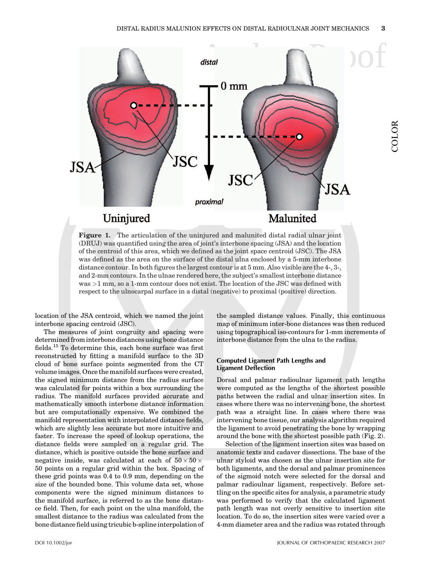

Figure 1. The articulation of the uninjured and malunited distal radial ulnar joint (DRUJ) was quantified using the area of joint's interbone spacing (JSA) and the location of the centroid of this area, which we defined as the joint space centroid (JSC). The JSA was defined as the area on the surface of the distal ulna enclosed by a 5-mm interbone distance contour. In both figures the largest contour is at 5 mm. Also visible are the 4-, 3-, and 2-mm contours. In the ulnae rendered here, the subject's smallest interbone distance was >1 mm, so a 1-mm contour does not exist. The location of the JSC was defined with respect to the ulnocarpal surface in a distal (negative) to proximal (positive) direction.

location of the JSA centroid, which we named the joint interbone spacing centroid (JSC).

determined from interbone distances using bone distance fields.<sup>15</sup> To determine this, each bone surface was first The measures of joint congruity and spacing were reconstructed by fitting a manifold surface to the 3D cloud of bone surface points segmented from the CT volume images. Once the manifold surfaces were created, the signed minimum distance from the radius surface was calculated for points within a box surrounding the radius. The manifold surfaces provided accurate and mathematically smooth interbone distance information but are computationally expensive. We combined the manifold representation with interpolated distance fields, which are slightly less accurate but more intuitive and faster. To increase the speed of lookup operations, the distance fields were sampled on a regular grid. The distance, which is positive outside the bone surface and negative inside, was calculated at each of  $50 \times 50 \times$ 50 points on a regular grid within the box. Spacing of these grid points was 0.4 to 0.9 mm, depending on the size of the bounded bone. This volume data set, whose components were the signed minimum distances to the manifold surface, is referred to as the bone distance field. Then, for each point on the ulna manifold, the smallest distance to the radius was calculated from the bone distance field using tricubic b-spline interpolation of the sampled distance values. Finally, this continuous map of minimum inter-bone distances was then reduced using topographical iso-contours for 1-mm increments of interbone distance from the ulna to the radius.

COLOR

#### Computed Ligament Path Lengths and Ligament Deflection

Dorsal and palmar radioulnar ligament path lengths were computed as the lengths of the shortest possible paths between the radial and ulnar insertion sites. In cases where there was no intervening bone, the shortest path was a straight line. In cases where there was intervening bone tissue, our analysis algorithm required the ligament to avoid penetrating the bone by wrapping around the bone with the shortest possible path (Fig. 2).

Selection of the ligament insertion sites was based on anatomic texts and cadaver dissections. The base of the ulnar styloid was chosen as the ulnar insertion site for both ligaments, and the dorsal and palmar prominences of the sigmoid notch were selected for the dorsal and palmar radioulnar ligament, respectively. Before settling on the specific sites for analysis, a parametric study was performed to verify that the calculated ligament path length was not overly sensitive to insertion site location. To do so, the insertion sites were varied over a 4-mm diameter area and the radius was rotated through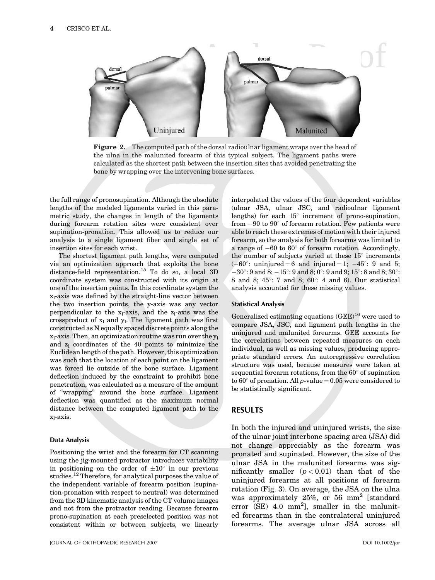

Figure 2. The computed path of the dorsal radioulnar ligament wraps over the head of the ulna in the malunited forearm of this typical subject. The ligament paths were calculated as the shortest path between the insertion sites that avoided penetrating the bone by wrapping over the intervening bone surfaces.

the full range of pronosupination. Although the absolute lengths of the modeled ligaments varied in this parametric study, the changes in length of the ligaments during forearm rotation sites were consistent over supination-pronation. This allowed us to reduce our analysis to a single ligament fiber and single set of insertion sites for each wrist.

Figure 2. The computed puth of the dorsal radio<br>durantity ways over the head of the behavior of the moment of the stylend and<br>plots. The lignarity way over the bread of the behavior of the stylend and<br>plots. The lignarity The shortest ligament path lengths, were computed via an optimization approach that exploits the bone distance-field representation.<sup>15</sup> To do so, a local 3D coordinate system was constructed with its origin at one of the insertion points. In this coordinate system the  $x<sub>l</sub>$ -axis was defined by the straight-line vector between the two insertion points, the y-axis was any vector perpendicular to the  $x_1$ -axis, and the  $z_1$ -axis was the crossproduct of  $x_1$  and  $y_1$ . The ligament path was first constructed as N equally spaced discrete points along the  $x_1$ -axis. Then, an optimization routine was run over the  $y_1$ and  $z_1$  coordinates of the 40 points to minimize the Euclidean length of the path. However, this optimization was such that the location of each point on the ligament was forced lie outside of the bone surface. Ligament deflection induced by the constraint to prohibit bone penetration, was calculated as a measure of the amount of ''wrapping'' around the bone surface. Ligament deflection was quantified as the maximum normal distance between the computed ligament path to the  $x<sub>l</sub>$ -axis.

#### Data Analysis

Positioning the wrist and the forearm for CT scanning using the jig-mounted protractor introduces variability in positioning on the order of  $\pm 10^{\circ}$  in our previous studies.<sup>12</sup> Therefore, for analytical purposes the value of the independent variable of forearm position (supination-pronation with respect to neutral) was determined from the 3D kinematic analysis of the CT volume images and not from the protractor reading. Because forearm prono-supination at each preselected position was not consistent within or between subjects, we linearly

interpolated the values of the four dependent variables (ulnar JSA, ulnar JSC, and radioulnar ligament lengths) for each  $15^\circ$  increment of prono-supination, from  $-90$  to  $90^{\circ}$  of forearm rotation. Few patients were able to reach these extremes of motion with their injured forearm, so the analysis for both forearms was limited to a range of  $-60$  to  $60^{\circ}$  of forearm rotation. Accordingly, the number of subjects varied at these  $15^{\circ}$  increments  $(-60^{\circ}$ : uninjured = 6 and injured = 1; -45°: 9 and 5;  $-30^\circ$ : 9 and 8;  $-15^\circ$ : 9 and 8; 0°: 9 and 9; 15°: 8 and 8; 30°: 8 and 8;  $45^{\circ}$ : 7 and 8;  $60^{\circ}$ : 4 and 6). Our statistical analysis accounted for these missing values.

#### Statistical Analysis

Generalized estimating equations  $(GEE)^{16}$  were used to compare JSA, JSC, and ligament path lengths in the uninjured and malunited forearms. GEE accounts for the correlations between repeated measures on each individual, as well as missing values, producing appropriate standard errors. An autoregressive correlation structure was used, because measures were taken at sequential forearm rotations, from the  $60^{\circ}$  of supination to 60 $^{\circ}$  of pronation. All p-value = 0.05 were considered to be statistically significant.

#### RESULTS

In both the injured and uninjured wrists, the size of the ulnar joint interbone spacing area (JSA) did not change appreciably as the forearm was pronated and supinated. However, the size of the ulnar JSA in the malunited forearms was significantly smaller  $(p < 0.01)$  than that of the uninjured forearms at all positions of forearm rotation (Fig. 3). On average, the JSA on the ulna was approximately  $25\%$ , or 56 mm<sup>2</sup> [standard error  $(SE)$  4.0  $mm<sup>2</sup>$ ], smaller in the malunited forearms than in the contralateral uninjured forearms. The average ulnar JSA across all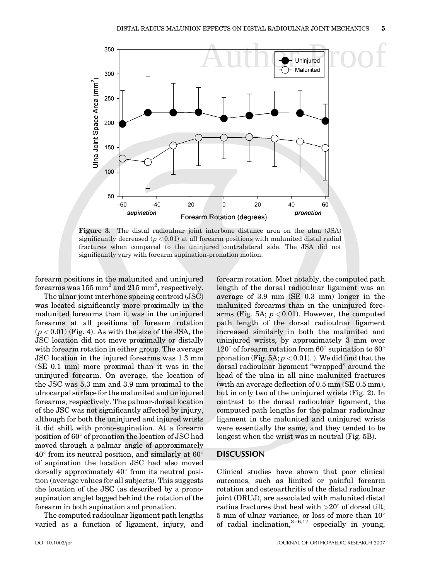

Figure 3. The distal radioulnar joint interbone distance area on the ulna (JSA) significantly decreased  $(p < 0.01)$  at all forearm positions with malunited distal radial fractures when compared to the uninjured contralateral side. The JSA did not significantly vary with forearm supination-pronation motion.

forearm positions in the malunited and uninjured forearms was  $155 \text{ mm}^2$  and  $215 \text{ mm}^2$ , respectively.

The ulnar joint interbone spacing centroid (JSC) was located significantly more proximally in the malunited forearms than it was in the uninjured forearms at all positions of forearm rotation  $(p < 0.01)$  (Fig. 4). As with the size of the JSA, the JSC location did not move proximally or distally with forearm rotation in either group. The average JSC location in the injured forearms was 1.3 mm (SE 0.1 mm) more proximal than it was in the uninjured forearm. On average, the location of the JSC was 5.3 mm and 3.9 mm proximal to the ulnocarpal surface for the malunited and uninjured forearms, respectively. The palmar-dorsal location of the JSC was not significantly affected by injury, although for both the uninjured and injured wrists it did shift with prono-supination. At a forearm position of  $60^{\circ}$  of pronation the location of JSC had moved through a palmar angle of approximately  $40^{\circ}$  from its neutral position, and similarly at  $60^{\circ}$ of supination the location JSC had also moved dorsally approximately  $40^{\circ}$  from its neutral position (average values for all subjects). This suggests the location of the JSC (as described by a pronosupination angle) lagged behind the rotation of the forearm in both supination and pronation.

The computed radioulnar ligament path lengths varied as a function of ligament, injury, and

For a strengthening the strengthening of the detection of  $\frac{1}{25}$  for  $\frac{1}{25}$  mm and 215 mm and 215 mm and 215 mm and 215 mm and 215 mm and 215 mm and 215 mm and 215 mm and 215 mm and 215 mm and 215 mm and 215 mm an forearm rotation. Most notably, the computed path length of the dorsal radioulnar ligament was an average of 3.9 mm (SE 0.3 mm) longer in the malunited forearms than in the uninjured forearms (Fig. 5A;  $p < 0.01$ ). However, the computed path length of the dorsal radioulnar ligament increased similarly in both the malunited and uninjured wrists, by approximately 3 mm over  $120^{\circ}$  of forearm rotation from 60° supination to 60° pronation (Fig. 5A;  $p < 0.01$ ). ). We did find that the dorsal radioulnar ligament ''wrapped'' around the head of the ulna in all nine malunited fractures (with an average deflection of 0.5 mm (SE 0.5 mm), but in only two of the uninjured wrists (Fig. 2). In contrast to the dorsal radioulnar ligament, the computed path lengths for the palmar radioulnar ligament in the malunited and uninjured wrists were essentially the same, and they tended to be longest when the wrist was in neutral (Fig. 5B).

#### DISCUSSION

Clinical studies have shown that poor clinical outcomes, such as limited or painful forearm rotation and osteoarthritis of the distal radioulnar joint (DRUJ), are associated with malunited distal radius fractures that heal with  $>20^{\circ}$  of dorsal tilt,  $5$  mm of ulnar variance, or loss of more than  $10^{\circ}$ of radial inclination,  $3-6,17$  especially in young,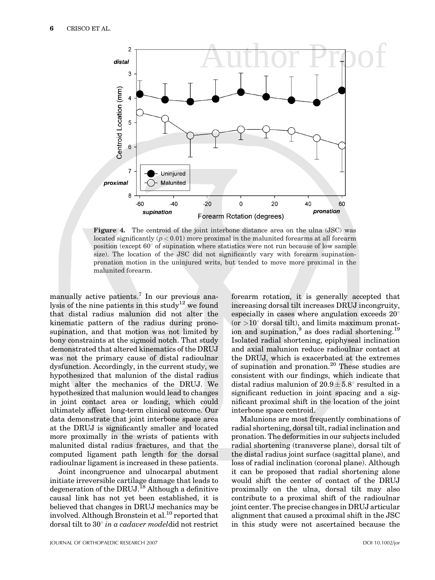

Figure 4. The centroid of the joint interbone distance area on the ulna (JSC) was located significantly  $(p < 0.01)$  more proximal in the malunited forearms at all forearm position (except  $60^{\circ}$  of supination where statistics were not run because of low sample size). The location of the JSC did not significantly vary with forearm supinationpronation motion in the uninjured writs, but tended to move more proximal in the malunited forearm.

manually active patients. A<sup>7</sup> In our previous anamanually active patients.<sup>7</sup> In our previous analysis of the nine patients in this study<sup>12</sup> we found that distal radius malunion did not alter the kinematic pattern of the radius during pronosupination, and that motion was not limited by bony constraints at the sigmoid notch. That study demonstrated that altered kinematics of the DRUJ was not the primary cause of distal radioulnar dysfunction. Accordingly, in the current study, we hypothesized that malunion of the distal radius might alter the mechanics of the DRUJ. We hypothesized that malunion would lead to changes in joint contact area or loading, which could ultimately affect long-term clinical outcome. Our data demonstrate that joint interbone space area at the DRUJ is significantly smaller and located more proximally in the wrists of patients with malunited distal radius fractures, and that the computed ligament path length for the dorsal radioulnar ligament is increased in these patients.

Joint incongruence and ulnocarpal abutment initiate irreversible cartilage damage that leads to degeneration of the DRUJ.<sup>18</sup> Although a definitive causal link has not yet been established, it is believed that changes in DRUJ mechanics may be involved. Although Bronstein et al.<sup>10</sup> reported that dorsal tilt to  $30^\circ$  in a cadaver modeldid not restrict

forearm rotation, it is generally accepted that increasing dorsal tilt increases DRUJ incongruity, especially in cases where angulation exceeds  $20^{\circ}$  $(or >10^{\circ}$  dorsal tilt), and limits maximum pronation and supination,  $9$  as does radial shortening.<sup>19</sup> Isolated radial shortening, epiphyseal inclination and axial malunion reduce radioulnar contact at the DRUJ, which is exacerbated at the extremes of supination and pronation.<sup>20</sup> These studies are consistent with our findings, which indicate that distal radius malunion of  $20.9 \pm 5.8^{\circ}$  resulted in a significant reduction in joint spacing and a significant proximal shift in the location of the joint interbone space centroid.

Malunions are most frequently combinations of radial shortening, dorsal tilt, radial inclination and pronation. The deformities in our subjects included radial shortening (transverse plane), dorsal tilt of the distal radius joint surface (sagittal plane), and loss of radial inclination (coronal plane). Although it can be proposed that radial shortening alone would shift the center of contact of the DRUJ proximally on the ulna, dorsal tilt may also contribute to a proximal shift of the radioulnar joint center. The precise changes in DRUJ articular alignment that caused a proximal shift in the JSC in this study were not ascertained because the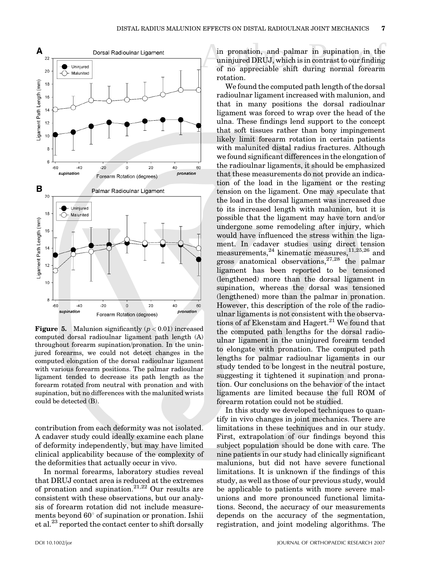

**Figure 5.** Malunion significantly  $(p < 0.01)$  increased computed dorsal radioulnar ligament path length (A) throughout forearm supination/pronation. In the uninjured forearms, we could not detect changes in the computed elongation of the dorsal radioulnar ligament with various forearm positions. The palmar radioulnar ligament tended to decrease its path length as the forearm rotated from neutral with pronation and with supination, but no differences with the malunited wrists could be detected (B).

contribution from each deformity was not isolated. A cadaver study could ideally examine each plane of deformity independently, but may have limited clinical applicability because of the complexity of the deformities that actually occur in vivo.

that DRUJ contact area is reduced at the extremes of pronation and supination.<sup>21,22</sup> Our results are In normal forearms, laboratory studies reveal consistent with these observations, but our analysis of forearm rotation did not include measurements beyond  $60^\circ$  of supination or pronation. Ishii et al.<sup>23</sup> reported the contact center to shift dorsally

in pronation, and palmar in supination in the uninjured DRUJ, which is in contrast to our finding of no appreciable shift during normal forearm in pronation, and palmar in supination in the uninjured DRUJ, which is in contrast to our finding of no appreciable shift during normal forearm rotation.

 ${\footnotesize \begin{tabular}{|c||c|} \hline \multicolumn{4}{|c||c|} \hline \multicolumn{4}{|c||c|} \hline \multicolumn{4}{|c||c|} \hline \multicolumn{4}{|c||c|} \hline \multicolumn{4}{|c||c|} \hline \multicolumn{4}{|c||c|} \hline \multicolumn{4}{|c||c|} \hline \multicolumn{4}{|c||c|} \hline \multicolumn{4}{|c||c|} \hline \multicolumn{4}{|c||c|} \hline \multicolumn{4}{|c||c|} \hline \multicolumn{4}{|c||c|} \hline \multicolumn{4}{|c$ We found the computed path length of the dorsal radioulnar ligament increased with malunion, and that in many positions the dorsal radioulnar ligament was forced to wrap over the head of the ulna. These findings lend support to the concept that soft tissues rather than bony impingement likely limit forearm rotation in certain patients with malunited distal radius fractures. Although we found significant differences in the elongation of the radioulnar ligaments, it should be emphasized that these measurements do not provide an indication of the load in the ligament or the resting tension on the ligament. One may speculate that the load in the dorsal ligament was increased due to its increased length with malunion, but it is possible that the ligament may have torn and/or undergone some remodeling after injury, which would have influenced the stress within the ligament. In cadaver studies using direct tension measurements,<sup>24</sup> kinematic measures,<sup>11,25,26</sup> and gross anatomical observations,  $27,28$  the palmar ligament has been reported to be tensioned (lengthened) more than the dorsal ligament in supination, whereas the dorsal was tensioned (lengthened) more than the palmar in pronation. However, this description of the role of the radioulnar ligaments is not consistent with the observations of af Ekenstam and Hagert.<sup>21</sup> We found that the computed path lengths for the dorsal radioulnar ligament in the uninjured forearm tended to elongate with pronation. The computed path lengths for palmar radioulnar ligaments in our study tended to be longest in the neutral posture, suggesting it tightened it supination and pronation. Our conclusions on the behavior of the intact ligaments are limited because the full ROM of forearm rotation could not be studied.

In this study we developed techniques to quantify in vivo changes in joint mechanics. There are limitations in these techniques and in our study. First, extrapolation of our findings beyond this subject population should be done with care. The nine patients in our study had clinically significant malunions, but did not have severe functional limitations. It is unknown if the findings of this study, as well as those of our previous study, would be applicable to patients with more severe malunions and more pronounced functional limitations. Second, the accuracy of our measurements depends on the accuracy of the segmentation, registration, and joint modeling algorithms. The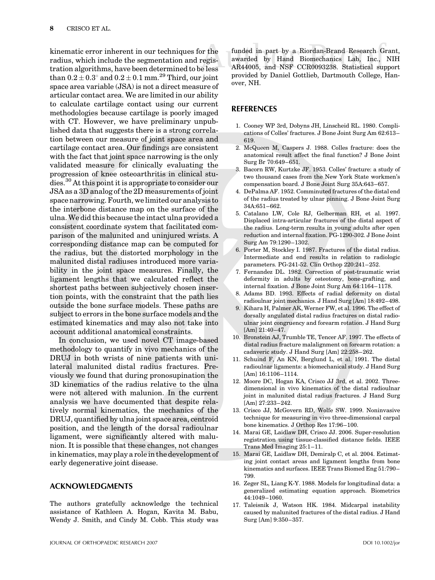In between our measure of joint space area and<br>
allows are distributed intertines. Jean-off in the contributed distributed into the line of the space of joint space area and<br>
this popular contributed in the contribution o kinematic error inherent in our techniques for the radius, which include the segmentation and registration algorithms, have been determined to be less than  $0.2 \pm 0.3^{\circ}$  and  $0.2 \pm 0.1$  mm.<sup>29</sup> Third, our joint space area variable (JSA) is not a direct measure of articular contact area. We are limited in our ability to calculate cartilage contact using our current methodologies because cartilage is poorly imaged with CT. However, we have preliminary unpublished data that suggests there is a strong correlation between our measure of joint space area and cartilage contact area. Our findings are consistent with the fact that joint space narrowing is the only validated measure for clinically evaluating the progression of knee osteoarthritis in clinical studies.<sup>30</sup> At this point it is appropriate to consider our JSA as a 3D analog of the 2D measurements of joint space narrowing. Fourth, we limited our analysis to the interbone distance map on the surface of the ulna. We did this because the intact ulna provided a consistent coordinate system that facilitated comparison of the malunited and uninjured wrists. A corresponding distance map can be computed for the radius, but the distorted morphology in the malunited distal radiuses introduced more variability in the joint space measures. Finally, the ligament lengths that we calculated reflect the shortest paths between subjectively chosen insertion points, with the constraint that the path lies outside the bone surface models. These paths are subject to errors in the bone surface models and the estimated kinematics and may also not take into account additional anatomical constraints.

In conclusion, we used novel CT image-based methodology to quantify in vivo mechanics of the DRUJ in both wrists of nine patients with unilateral malunited distal radius fractures. Previously we found that during pronosupination the 3D kinematics of the radius relative to the ulna were not altered with malunion. In the current analysis we have documented that despite relatively normal kinematics, the mechanics of the DRUJ, quantified by ulna joint space area, centroid position, and the length of the dorsal radioulnar ligament, were significantly altered with malunion. It is possible that these changes, not changes in kinematics, may play a role in the development of early degenerative joint disease.

#### ACKNOWLEDGMENTS

The authors gratefully acknowledge the technical assistance of Kathleen A. Hogan, Kavita M. Babu, Wendy J. Smith, and Cindy M. Cobb. This study was

or the funded in part by a Riordan-Brand Research G<br>regis-<br>awarded by Hand Biomechanics Lab, Inc.,<br>AR44005, and NSF CCR0093238. Statistical sup funded in part by a Riordan-Brand Research Grant, awarded by Hand Biomechanics Lab, Inc., NIH AR44005, and NSF CCR0093238. Statistical support provided by Daniel Gottlieb, Dartmouth College, Hanover, NH.

## REFERENCES

- 1. Cooney WP 3rd, Dobyns JH, Linscheid RL. 1980. Complications of Colles' fractures. J Bone Joint Surg Am 62:613– 619.
- 2. McQueen M, Caspers J. 1988. Colles fracture: does the anatomical result affect the final function? J Bone Joint Surg Br 70:649–651.
- 3. Bacorn RW, Kurtzke JF. 1953. Colles' fracture: a study of two thousand cases from the New York State workmen's compensation board. J Bone Joint Surg 35A:643–657.
- 4. DePalma AF. 1952. Comminuted fractures of the distal end of the radius treated by ulnar pinning. J Bone Joint Surg 34A:651–662.
- 5. Catalano LW, Cole RJ, Gelberman RH, et al. 1997. Displaced intra-articular fractures of the distal aspect of the radius. Long-term results in young adults after open reduction and internal fixation. PG-1290-302. J Bone Joint Surg Am 79:1290–1302.
- 6. Porter M, Stockley I. 1987. Fractures of the distal radius. Intermediate and end results in relation to radiologic parameters. PG-241-52. Clin Orthop 220:241–252.
- 7. Fernandez DL. 1982. Correction of post-traumatic wrist deformity in adults by osteotomy, bone-grafting, and internal fixation. J Bone Joint Surg Am 64:1164–1178.
- 8. Adams BD. 1993. Effects of radial deformity on distal radioulnar joint mechanics. J Hand Surg [Am] 18:492–498.
- 9. Kihara H, Palmer AK, Werner FW, et al. 1996. The effect of dorsally angulated distal radius fractures on distal radioulnar joint congruency and forearm rotation. J Hand Surg [Am] 21:40–47.
- 10. Bronstein AJ, Trumble TE, Tencer AF. 1997. The effects of distal radius fracture malalignment on forearm rotation: a cadaveric study. J Hand Surg [Am] 22:258–262.
- 11. Schuind F, An KN, Berglund L, et al. 1991. The distal radioulnar ligaments: a biomechanical study. J Hand Surg [Am] 16:1106-1114.
- 12. Moore DC, Hogan KA, Crisco JJ 3rd, et al. 2002. Threedimensional in vivo kinematics of the distal radioulnar joint in malunited distal radius fractures. J Hand Surg [Am] 27:233–242.
- 13. Crisco JJ, McGovern RD, Wolfe SW. 1999. Noninvasive technique for measuring in vivo three-dimensional carpal bone kinematics. J Orthop Res 17:96–100.
- 14. Marai GE, Laidlaw DH, Crisco JJ. 2006. Super-resolution registration using tissue-classified distance fields. IEEE Trans Med Imaging 25:1–11.
- 15. Marai GE, Laidlaw DH, Demiralp C, et al. 2004. Estimating joint contact areas and ligament lengths from bone kinematics and surfaces. IEEE Trans Biomed Eng 51:790– 799.
- 16. Zeger SL, Liang K-Y. 1988. Models for longitudinal data: a generalized estimating equation approach. Biometrics 44:1049–1060.
- 17. Taleisnik J, Watson HK. 1984. Midcarpal instability caused by malunited fractures of the distal radius. J Hand Surg [Am] 9:350–357.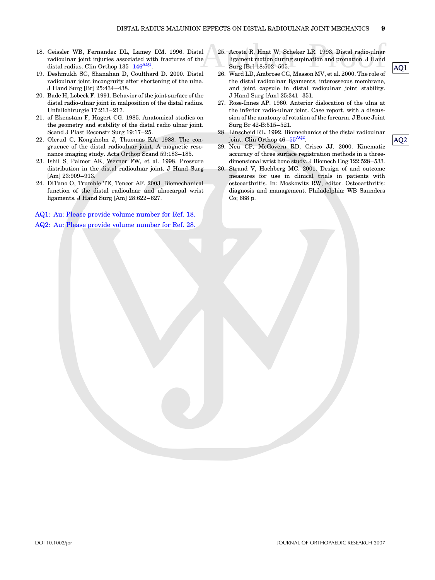- <span id="page-8-1"></span>18. Geissler WB, Fernandez DL, Lamey DM. 1996. Distal radioulnar joint injuries associated with fractures of the distal radius. Clin Orthop  $135-146^{AQ1}$ .
- 19. Deshmukh SC, Shanahan D, Coulthard D. 2000. Distal radioulnar joint incongruity after shortening of the ulna. J Hand Surg [Br] 25:434–438.
- 20. Bade H, Lobeck F. 1991. Behavior of the joint surface of the distal radio-ulnar joint in malposition of the distal radius. Unfallchirurgie 17:213–217.
- <span id="page-8-3"></span>21. af Ekenstam F, Hagert CG. 1985. Anatomical studies on the geometry and stability of the distal radio ulnar joint. Scand J Plast Reconstr Surg 19:17–25.
- 22. Olerud C, Kongsholm J, Thuomas KA. 1988. The congruence of the distal radioulnar joint. A magnetic resonance imaging study. Acta Orthop Scand 59:183–185.
- 23. Ishii S, Palmer AK, Werner FW, et al. 1998. Pressure distribution in the distal radioulnar joint. J Hand Surg [Am] 23:909-913.
- 24. DiTano O, Trumble TE, Tencer AF. 2003. Biomechanical function of the distal radioulnar and ulnocarpal wrist ligaments. J Hand Surg [Am] 28:622–627.

<span id="page-8-2"></span><span id="page-8-0"></span>[AQ1: Au: Please provide volume number for Ref. 18.](#page-8-1) [AQ2: Au: Please provide volume number for Ref. 28.](#page-8-3)

- 25. Acosta R, Hnat W, Scheker LR. 1993. Distal radio-ulnar<br>ligament motion during supination and pronation. J Hand<br>Surg [Br] 18:502–505.<br>26 Ward LD Ambrose CG Masson MV et al. 2000. The role of 25. Acosta R, Hnat W, Scheker LR. 1993. Distal radio-ulnar ligament motion during supination and pronation. J Hand Surg [Br] 18:502–505.
	- 26. Ward LD, Ambrose CG, Masson MV, et al. 2000. The role of the distal radioulnar ligaments, interosseous membrane, and joint capsule in distal radioulnar joint stability. J Hand Surg [Am] 25:341–351.
	- 27. Rose-Innes AP. 1960. Anterior dislocation of the ulna at the inferior radio-ulnar joint. Case report, with a discussion of the anatomy of rotation of the forearm. J Bone Joint Surg Br 42-B:515–521.
	- 28. Linscheid RL. 1992. Biomechanics of the distal radioulnar joint. Clin Orthop 46-55<sup>AQ2</sup>.
	- 29. Neu CP, McGovern RD, Crisco JJ. 2000. Kinematic accuracy of three surface registration methods in a threedimensional wrist bone study. J Biomech Eng 122:528–533.
- and a final statement of the distant and particular the statement of the distant and the statement of the distant and the statement of the distant and the statement of the distant and the statement of the distant and the 30. Strand V, Hochberg MC. 2001. Design of and outcome measures for use in clinical trials in patients with osteoarthritis. In: Moskowitz RW, editor. Osteoarthritis: diagnosis and management. Philadelphia: WB Saunders Co; 688 p.



AQ2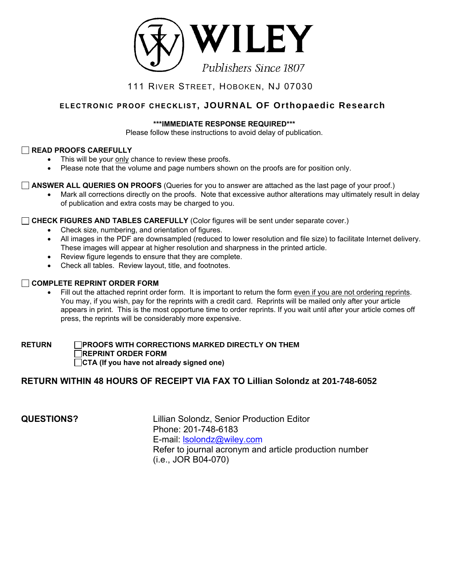

# 111 RIVER STREET, HOBOKEN, NJ 07030

# **ELECTRONIC PROOF CHECKLIST, JOURNAL OF Orthopaedic Research**

## **\*\*\*IMMEDIATE RESPONSE REQUIRED\*\*\***

Please follow these instructions to avoid delay of publication.

## **READ PROOFS CAREFULLY**

- This will be your only chance to review these proofs.
- Please note that the volume and page numbers shown on the proofs are for position only.
- **ANSWER ALL QUERIES ON PROOFS** (Queries for you to answer are attached as the last page of your proof.)
	- Mark all corrections directly on the proofs. Note that excessive author alterations may ultimately result in delay of publication and extra costs may be charged to you.

**CHECK FIGURES AND TABLES CAREFULLY** (Color figures will be sent under separate cover.)

- Check size, numbering, and orientation of figures.
- All images in the PDF are downsampled (reduced to lower resolution and file size) to facilitate Internet delivery. These images will appear at higher resolution and sharpness in the printed article.
- Review figure legends to ensure that they are complete.
- Check all tables. Review layout, title, and footnotes.

## **COMPLETE REPRINT ORDER FORM**

Fill out the attached reprint order form. It is important to return the form even if you are not ordering reprints. You may, if you wish, pay for the reprints with a credit card. Reprints will be mailed only after your article appears in print. This is the most opportune time to order reprints. If you wait until after your article comes off press, the reprints will be considerably more expensive.

## **RETURN PROOFS WITH CORRECTIONS MARKED DIRECTLY ON THEM REPRINT ORDER FORM CTA (If you have not already signed one)**

# **RETURN WITHIN 48 HOURS OF RECEIPT VIA FAX TO Lillian Solondz at 201-748-6052**

**QUESTIONS?** Lillian Solondz, Senior Production Editor Phone: 201-748-6183 E-mail: lsolondz@wiley.com Refer to journal acronym and article production number (i.e., JOR B04-070)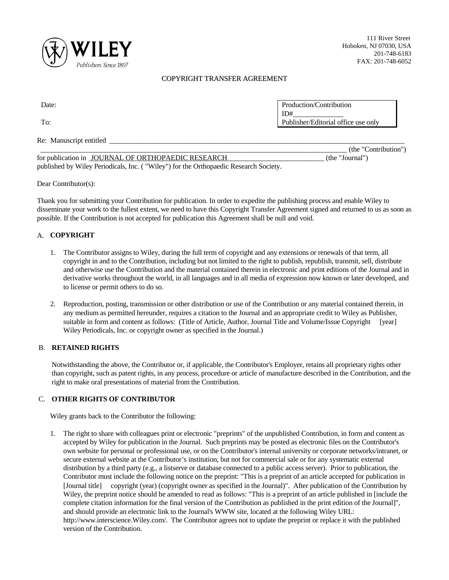

111 River Street Hoboken, NJ 07030, USA 201-748-6183 FAX: 201-748-6052

#### COPYRIGHT TRANSFER AGREEMENT

Date:

To:

Re: Manuscript entitled

Production/Contribution  $ID#$ Publisher/Editorial office use only

\_\_\_\_\_\_\_\_\_\_\_\_\_\_\_\_\_\_\_\_\_\_\_\_\_\_\_\_\_\_\_\_\_\_\_\_\_\_\_\_\_\_\_\_\_\_\_\_\_\_\_\_\_\_\_\_\_\_\_\_\_\_\_\_\_\_\_\_\_\_\_\_\_\_\_\_\_\_\_\_\_\_\_\_\_ (the "Contribution") for publication in \_JOURNAL OF ORTHOPAEDIC RESEARCH (the "Journal") published by Wiley Periodicals, Inc. ( "Wiley") for the Orthopaedic Research Society.

Dear Contributor(s):

Thank you for submitting your Contribution for publication. In order to expedite the publishing process and enable Wiley to disseminate your work to the fullest extent, we need to have this Copyright Transfer Agreement signed and returned to us as soon as possible. If the Contribution is not accepted for publication this Agreement shall be null and void.

## A. **COPYRIGHT**

- 1. The Contributor assigns to Wiley, during the full term of copyright and any extensions or renewals of that term, all copyright in and to the Contribution, including but not limited to the right to publish, republish, transmit, sell, distribute and otherwise use the Contribution and the material contained therein in electronic and print editions of the Journal and in derivative works throughout the world, in all languages and in all media of expression now known or later developed, and to license or permit others to do so.
- 2. Reproduction, posting, transmission or other distribution or use of the Contribution or any material contained therein, in any medium as permitted hereunder, requires a citation to the Journal and an appropriate credit to Wiley as Publisher, suitable in form and content as follows: (Title of Article, Author, Journal Title and Volume/Issue Copyright [year] Wiley Periodicals, Inc. or copyright owner as specified in the Journal.)

#### B. **RETAINED RIGHTS**

Notwithstanding the above, the Contributor or, if applicable, the Contributor's Employer, retains all proprietary rights other than copyright, such as patent rights, in any process, procedure or article of manufacture described in the Contribution, and the right to make oral presentations of material from the Contribution.

#### C. **OTHER RIGHTS OF CONTRIBUTOR**

Wiley grants back to the Contributor the following:

1. The right to share with colleagues print or electronic "preprints" of the unpublished Contribution, in form and content as accepted by Wiley for publication in the Journal. Such preprints may be posted as electronic files on the Contributor's own website for personal or professional use, or on the Contributor's internal university or corporate networks/intranet, or secure external website at the Contributor's institution, but not for commercial sale or for any systematic external distribution by a third party (e.g., a listserve or database connected to a public access server). Prior to publication, the Contributor must include the following notice on the preprint: "This is a preprint of an article accepted for publication in [Journal title] copyright (year) (copyright owner as specified in the Journal)". After publication of the Contribution by Wiley, the preprint notice should be amended to read as follows: "This is a preprint of an article published in [include the complete citation information for the final version of the Contribution as published in the print edition of the Journal]", and should provide an electronic link to the Journal's WWW site, located at the following Wiley URL: http://www.interscience.Wiley.com/. The Contributor agrees not to update the preprint or replace it with the published version of the Contribution.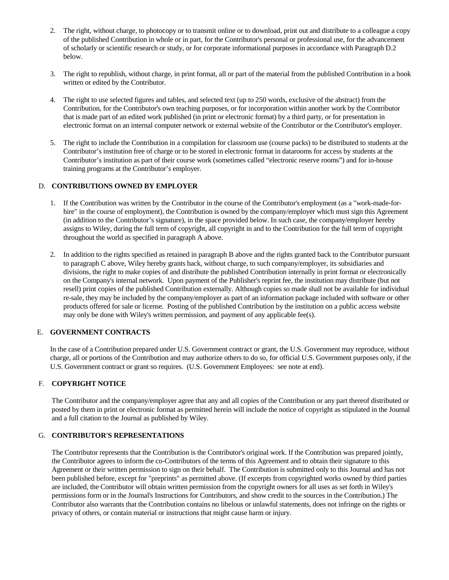- 2. The right, without charge, to photocopy or to transmit online or to download, print out and distribute to a colleague a copy of the published Contribution in whole or in part, for the Contributor's personal or professional use, for the advancement of scholarly or scientific research or study, or for corporate informational purposes in accordance with Paragraph D.2 below.
- 3. The right to republish, without charge, in print format, all or part of the material from the published Contribution in a book written or edited by the Contributor.
- 4. The right to use selected figures and tables, and selected text (up to 250 words, exclusive of the abstract) from the Contribution, for the Contributor's own teaching purposes, or for incorporation within another work by the Contributor that is made part of an edited work published (in print or electronic format) by a third party, or for presentation in electronic format on an internal computer network or external website of the Contributor or the Contributor's employer.
- 5. The right to include the Contribution in a compilation for classroom use (course packs) to be distributed to students at the Contributor's institution free of charge or to be stored in electronic format in datarooms for access by students at the Contributor's institution as part of their course work (sometimes called "electronic reserve rooms") and for in-house training programs at the Contributor's employer.

#### D. **CONTRIBUTIONS OWNED BY EMPLOYER**

- 1. If the Contribution was written by the Contributor in the course of the Contributor's employment (as a "work-made-forhire" in the course of employment), the Contribution is owned by the company/employer which must sign this Agreement (in addition to the Contributor's signature), in the space provided below. In such case, the company/employer hereby assigns to Wiley, during the full term of copyright, all copyright in and to the Contribution for the full term of copyright throughout the world as specified in paragraph A above.
- 2. In addition to the rights specified as retained in paragraph B above and the rights granted back to the Contributor pursuant to paragraph C above, Wiley hereby grants back, without charge, to such company/employer, its subsidiaries and divisions, the right to make copies of and distribute the published Contribution internally in print format or electronically on the Company's internal network. Upon payment of the Publisher's reprint fee, the institution may distribute (but not resell) print copies of the published Contribution externally. Although copies so made shall not be available for individual re-sale, they may be included by the company/employer as part of an information package included with software or other products offered for sale or license. Posting of the published Contribution by the institution on a public access website may only be done with Wiley's written permission, and payment of any applicable fee(s).

#### E. **GOVERNMENT CONTRACTS**

In the case of a Contribution prepared under U.S. Government contract or grant, the U.S. Government may reproduce, without charge, all or portions of the Contribution and may authorize others to do so, for official U.S. Government purposes only, if the U.S. Government contract or grant so requires. (U.S. Government Employees: see note at end).

#### F. **COPYRIGHT NOTICE**

The Contributor and the company/employer agree that any and all copies of the Contribution or any part thereof distributed or posted by them in print or electronic format as permitted herein will include the notice of copyright as stipulated in the Journal and a full citation to the Journal as published by Wiley.

#### G. **CONTRIBUTOR'S REPRESENTATIONS**

The Contributor represents that the Contribution is the Contributor's original work. If the Contribution was prepared jointly, the Contributor agrees to inform the co-Contributors of the terms of this Agreement and to obtain their signature to this Agreement or their written permission to sign on their behalf. The Contribution is submitted only to this Journal and has not been published before, except for "preprints" as permitted above. (If excerpts from copyrighted works owned by third parties are included, the Contributor will obtain written permission from the copyright owners for all uses as set forth in Wiley's permissions form or in the Journal's Instructions for Contributors, and show credit to the sources in the Contribution.) The Contributor also warrants that the Contribution contains no libelous or unlawful statements, does not infringe on the rights or privacy of others, or contain material or instructions that might cause harm or injury.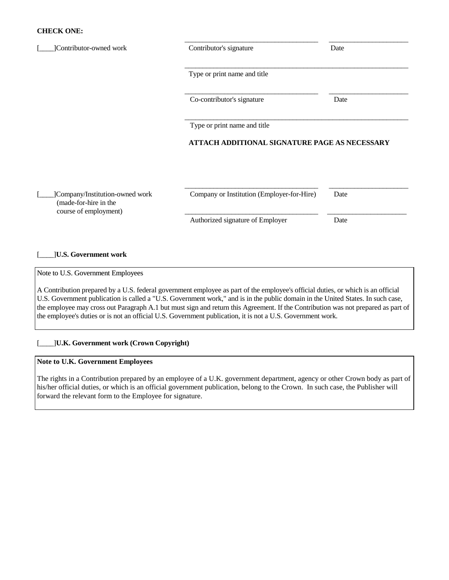#### **CHECK ONE:**

| Contributor-owned work                                  | Contributor's signature                       | Date |  |  |  |  |
|---------------------------------------------------------|-----------------------------------------------|------|--|--|--|--|
|                                                         | Type or print name and title                  |      |  |  |  |  |
|                                                         | Co-contributor's signature                    | Date |  |  |  |  |
|                                                         | Type or print name and title                  |      |  |  |  |  |
|                                                         | ATTACH ADDITIONAL SIGNATURE PAGE AS NECESSARY |      |  |  |  |  |
|                                                         |                                               |      |  |  |  |  |
| Company/Institution-owned work<br>(made-for-hire in the | Company or Institution (Employer-for-Hire)    | Date |  |  |  |  |
| course of employment)                                   | Authorized signature of Employer              | Date |  |  |  |  |

## [\_\_\_\_]**U.S. Government work**

#### Note to U.S. Government Employees

A Contribution prepared by a U.S. federal government employee as part of the employee's official duties, or which is an official U.S. Government publication is called a "U.S. Government work," and is in the public domain in the United States. In such case, the employee may cross out Paragraph A.1 but must sign and return this Agreement. If the Contribution was not prepared as part of the employee's duties or is not an official U.S. Government publication, it is not a U.S. Government work.

#### [\_\_\_\_]**U.K. Government work (Crown Copyright)**

#### **Note to U.K. Government Employees**

The rights in a Contribution prepared by an employee of a U.K. government department, agency or other Crown body as part of his/her official duties, or which is an official government publication, belong to the Crown. In such case, the Publisher will forward the relevant form to the Employee for signature.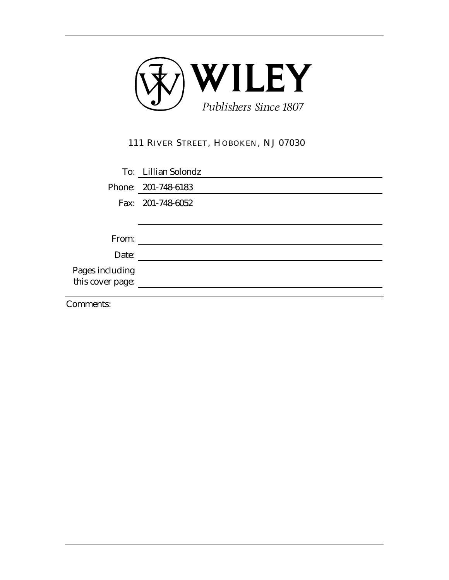

# 111 RIVER STREET, HOBOKEN, NJ 07030

|                  | To: Lillian Solondz |  |  |
|------------------|---------------------|--|--|
|                  | Phone: 201-748-6183 |  |  |
|                  | Fax: 201-748-6052   |  |  |
|                  |                     |  |  |
|                  |                     |  |  |
| From:            |                     |  |  |
| Date:            |                     |  |  |
| Pages including  |                     |  |  |
| this cover page: |                     |  |  |
|                  |                     |  |  |

Comments: